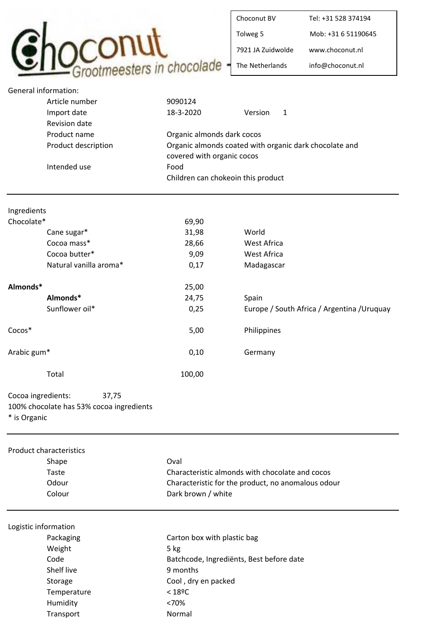

| Choconut BV       | Tel: +31 528 374194 |
|-------------------|---------------------|
| Tolweg 5          | Mob: +31 6 51190645 |
| 7921 IA Zuidwolde | www.choconut.nl     |
| The Netherlands   | info@choconut.nl    |

| <b>General information:</b> |                                          |                                                    |             |                                                        |
|-----------------------------|------------------------------------------|----------------------------------------------------|-------------|--------------------------------------------------------|
|                             | Article number                           | 9090124                                            |             |                                                        |
|                             | Import date                              | 18-3-2020                                          | Version     | $\mathbf{1}$                                           |
|                             | Revision date                            |                                                    |             |                                                        |
|                             | Product name                             | Organic almonds dark cocos                         |             |                                                        |
|                             | Product description                      |                                                    |             | Organic almonds coated with organic dark chocolate and |
|                             |                                          | covered with organic cocos<br>Food                 |             |                                                        |
|                             | Intended use                             |                                                    |             |                                                        |
|                             |                                          | Children can chokeoin this product                 |             |                                                        |
|                             |                                          |                                                    |             |                                                        |
| Ingredients                 |                                          |                                                    |             |                                                        |
| Chocolate*                  |                                          | 69,90                                              |             |                                                        |
|                             | Cane sugar*                              | 31,98                                              | World       |                                                        |
|                             | Cocoa mass*                              | 28,66                                              | West Africa |                                                        |
|                             | Cocoa butter*                            | 9,09                                               | West Africa |                                                        |
|                             | Natural vanilla aroma*                   | 0,17                                               |             |                                                        |
|                             |                                          |                                                    | Madagascar  |                                                        |
| Almonds*                    |                                          | 25,00                                              |             |                                                        |
|                             | Almonds*                                 | 24,75                                              | Spain       |                                                        |
|                             | Sunflower oil*                           | 0,25                                               |             | Europe / South Africa / Argentina / Uruquay            |
|                             |                                          |                                                    |             |                                                        |
| Cocos*                      |                                          | 5,00                                               | Philippines |                                                        |
| Arabic gum*                 |                                          | 0,10                                               | Germany     |                                                        |
|                             | Total                                    | 100,00                                             |             |                                                        |
|                             |                                          |                                                    |             |                                                        |
| Cocoa ingredients:          | 37,75                                    |                                                    |             |                                                        |
|                             | 100% chocolate has 53% cocoa ingredients |                                                    |             |                                                        |
| * is Organic                |                                          |                                                    |             |                                                        |
|                             |                                          |                                                    |             |                                                        |
|                             | <b>Product characteristics</b>           |                                                    |             |                                                        |
|                             | Shape                                    | Oval                                               |             |                                                        |
|                             | Taste                                    | Characteristic almonds with chocolate and cocos    |             |                                                        |
|                             | Odour                                    | Characteristic for the product, no anomalous odour |             |                                                        |
|                             | Colour                                   | Dark brown / white                                 |             |                                                        |
|                             |                                          |                                                    |             |                                                        |
| Logistic information        |                                          |                                                    |             |                                                        |
|                             | Packaging                                | Carton box with plastic bag                        |             |                                                        |
|                             | Weight                                   | 5 kg                                               |             |                                                        |
|                             | Code                                     | Batchcode, Ingrediënts, Best before date           |             |                                                        |
|                             | <b>Shelf live</b>                        | 9 months                                           |             |                                                        |
|                             | Storage                                  | Cool, dry en packed                                |             |                                                        |
|                             | Temperature                              | $<$ 18ºC                                           |             |                                                        |
|                             | Humidity                                 | <70%                                               |             |                                                        |
|                             | Transport                                | Normal                                             |             |                                                        |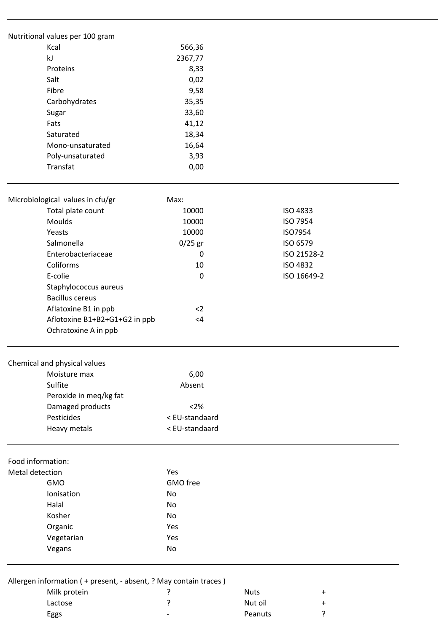|                        | Nutritional values per 100 gram<br>Kcal                                            |                |                          |
|------------------------|------------------------------------------------------------------------------------|----------------|--------------------------|
|                        |                                                                                    | 566,36         |                          |
|                        | kJ                                                                                 | 2367,77        |                          |
|                        | Proteins                                                                           | 8,33           |                          |
|                        | Salt                                                                               | 0,02           |                          |
| Fibre<br>Carbohydrates |                                                                                    | 9,58           |                          |
|                        |                                                                                    | 35,35          |                          |
|                        | Sugar                                                                              | 33,60          |                          |
|                        | Fats                                                                               | 41,12          |                          |
|                        | Saturated                                                                          | 18,34          |                          |
|                        | Mono-unsaturated                                                                   | 16,64          |                          |
|                        | Poly-unsaturated                                                                   | 3,93           |                          |
|                        | Transfat                                                                           | 0,00           |                          |
|                        | Microbiological values in cfu/gr                                                   | Max:           |                          |
|                        |                                                                                    | 10000          | <b>ISO 4833</b>          |
|                        | Total plate count<br>Moulds                                                        | 10000          | ISO 7954                 |
|                        | Yeasts                                                                             |                |                          |
|                        |                                                                                    | 10000          | ISO7954                  |
|                        | Salmonella                                                                         | $0/25$ gr      | ISO 6579                 |
|                        | Enterobacteriaceae                                                                 | 0              | ISO 21528-2              |
|                        | Coliforms                                                                          | 10             | <b>ISO 4832</b>          |
|                        | E-colie                                                                            | 0              | ISO 16649-2              |
|                        | Staphylococcus aureus                                                              |                |                          |
|                        | <b>Bacillus cereus</b>                                                             |                |                          |
|                        | Aflatoxine B1 in ppb                                                               | $2$            |                          |
|                        | Aflotoxine B1+B2+G1+G2 in ppb                                                      | $<$ 4          |                          |
|                        | Ochratoxine A in ppb                                                               |                |                          |
|                        | Chemical and physical values                                                       |                |                          |
|                        | Moisture max                                                                       | 6,00           |                          |
|                        | Sulfite                                                                            | Absent         |                          |
|                        | Peroxide in meq/kg fat                                                             |                |                          |
|                        | Damaged products                                                                   | $<2\%$         |                          |
|                        | Pesticides                                                                         | < EU-standaard |                          |
|                        |                                                                                    | < EU-standaard |                          |
|                        | Heavy metals                                                                       |                |                          |
| Food information:      |                                                                                    |                |                          |
| Metal detection        |                                                                                    | Yes            |                          |
|                        | <b>GMO</b>                                                                         | GMO free       |                          |
|                        | Ionisation                                                                         | No             |                          |
|                        | Halal                                                                              | No             |                          |
|                        | Kosher                                                                             | No             |                          |
|                        | Organic                                                                            | Yes            |                          |
|                        | Vegetarian                                                                         | Yes            |                          |
|                        | Vegans                                                                             | No             |                          |
|                        |                                                                                    |                |                          |
|                        | Allergen information ( + present, - absent, ? May contain traces )<br>Milk protein | 7              | <b>Nuts</b><br>$\ddot{}$ |
|                        |                                                                                    |                |                          |

Lactose ? Nut oil + Eggs and the contract of the contract of the Peanuts and Peanuts and Peanuts and Peanuts and Peanuts and Peanuts